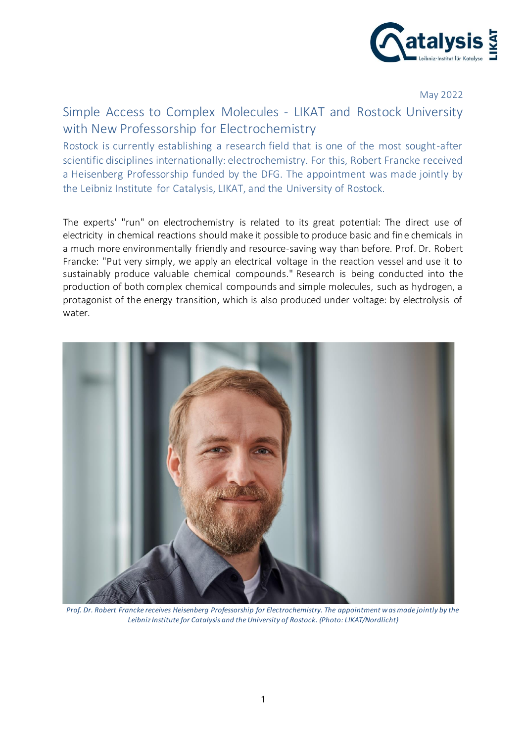

May 2022

## Simple Access to Complex Molecules - LIKAT and Rostock University with New Professorship for Electrochemistry

Rostock is currently establishing a research field that is one of the most sought-after scientific disciplines internationally: electrochemistry. For this, Robert Francke received a Heisenberg Professorship funded by the DFG. The appointment was made jointly by the Leibniz Institute for Catalysis, LIKAT, and the University of Rostock.

The experts' "run" on electrochemistry is related to its great potential: The direct use of electricity in chemical reactions should make it possible to produce basic and fine chemicals in a much more environmentally friendly and resource-saving way than before. Prof. Dr. Robert Francke: "Put very simply, we apply an electrical voltage in the reaction vessel and use it to sustainably produce valuable chemical compounds." Research is being conducted into the production of both complex chemical compounds and simple molecules, such as hydrogen, a protagonist of the energy transition, which is also produced under voltage: by electrolysis of water.



*Prof. Dr. Robert Francke receives Heisenberg Professorship for Electrochemistry. The appointment was made jointly by the Leibniz Institute for Catalysis and the University of Rostock. (Photo: LIKAT/Nordlicht)*